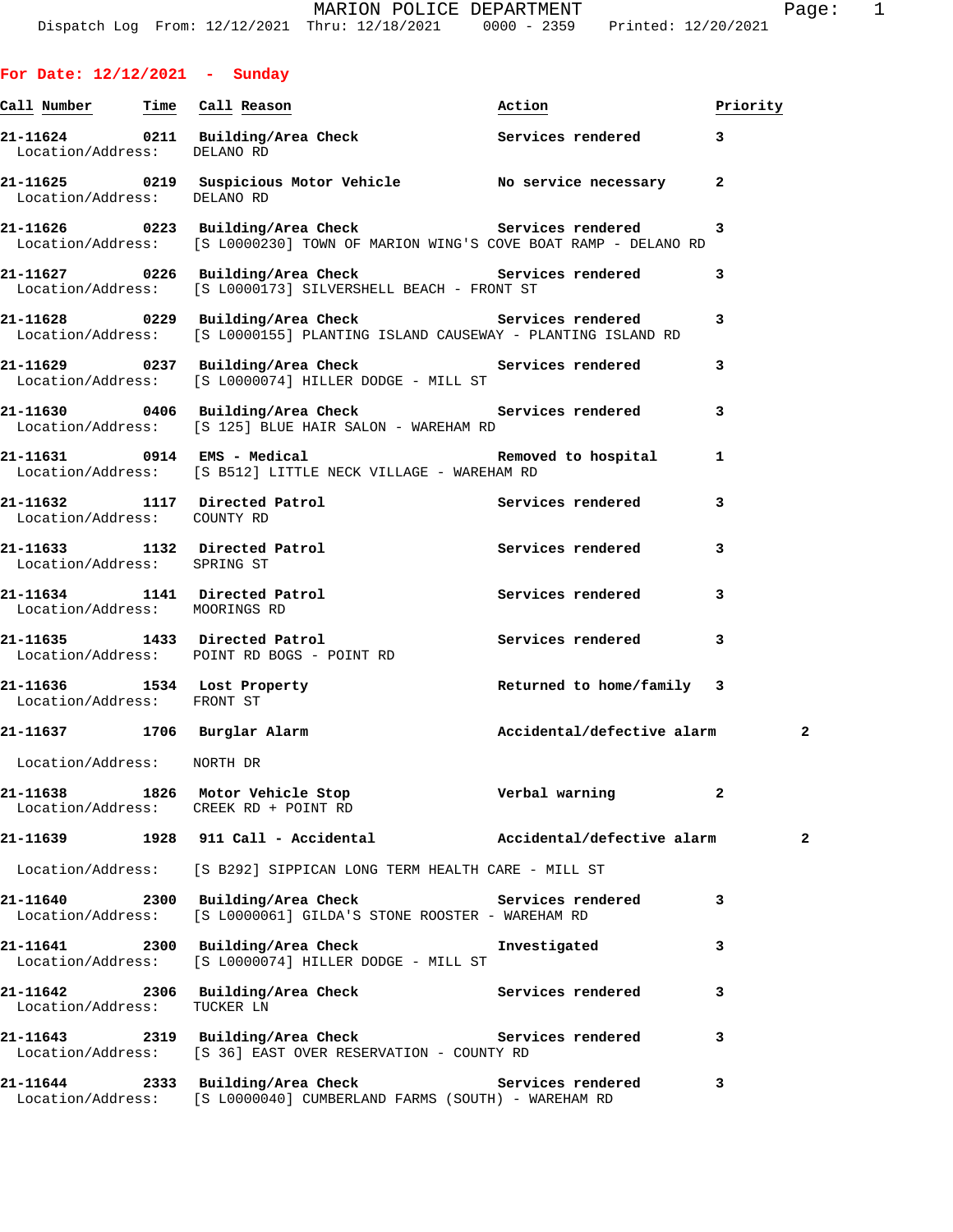**For Date: 12/12/2021 - Sunday**

| <u>Call Number — Time Call Reason</u> |                                                                                                                                              | Action                     | Priority       |
|---------------------------------------|----------------------------------------------------------------------------------------------------------------------------------------------|----------------------------|----------------|
| Location/Address: DELANO RD           | 21-11624 0211 Building/Area Check Services rendered                                                                                          |                            | 3              |
| Location/Address: DELANO RD           | 21-11625 0219 Suspicious Motor Vehicle No service necessary                                                                                  |                            | $\mathbf{2}$   |
|                                       | 21-11626 		 0223 Building/Area Check 		 Services rendered<br>Location/Address: [S L0000230] TOWN OF MARION WING'S COVE BOAT RAMP - DELANO RD |                            | 3              |
|                                       | 21-11627 0226 Building/Area Check Services rendered<br>Location/Address: [S L0000173] SILVERSHELL BEACH - FRONT ST                           |                            | 3              |
|                                       | 21-11628 		 0229 Building/Area Check 		 Services rendered<br>Location/Address: [S L0000155] PLANTING ISLAND CAUSEWAY - PLANTING ISLAND RD    |                            | 3              |
|                                       | 21-11629 0237 Building/Area Check Services rendered<br>Location/Address: [S L0000074] HILLER DODGE - MILL ST                                 |                            | 3              |
|                                       | 21-11630 0406 Building/Area Check Services rendered<br>Location/Address: [S 125] BLUE HAIR SALON - WAREHAM RD                                |                            | 3              |
|                                       | 21-11631 0914 EMS - Medical and Removed to hospital<br>Location/Address: [S B512] LITTLE NECK VILLAGE - WAREHAM RD                           |                            | 1              |
| Location/Address: COUNTY RD           | 21-11632 1117 Directed Patrol                                                                                                                | Services rendered          | 3              |
| Location/Address: SPRING ST           | 21-11633 1132 Directed Patrol                                                                                                                | Services rendered          | 3              |
| Location/Address: MOORINGS RD         | 21-11634 1141 Directed Patrol                                                                                                                | Services rendered          | 3              |
|                                       | 21-11635 1433 Directed Patrol<br>Location/Address: POINT RD BOGS - POINT RD                                                                  | Services rendered          | 3              |
| Location/Address: FRONT ST            | 21-11636 1534 Lost Property 19 Returned to home/family 3                                                                                     |                            |                |
|                                       | 21-11637 1706 Burglar Alarm                                                                                                                  | Accidental/defective alarm | 2              |
| Location/Address: NORTH DR            |                                                                                                                                              |                            |                |
|                                       | 21-11638 1826 Motor Vehicle Stop<br>Location/Address: CREEK RD + POINT RD                                                                    | Verbal warning             |                |
|                                       | 21-11639 1928 911 Call - Accidental Maccidental/defective alarm                                                                              |                            | $\overline{2}$ |
|                                       | Location/Address: [S B292] SIPPICAN LONG TERM HEALTH CARE - MILL ST                                                                          |                            |                |
|                                       | 21-11640 2300 Building/Area Check 5ervices rendered<br>Location/Address: [S L0000061] GILDA'S STONE ROOSTER - WAREHAM RD                     |                            | 3              |
|                                       | 21-11641 2300 Building/Area Check<br>Location/Address: [S L0000074] HILLER DODGE - MILL ST                                                   | Investigated               | 3              |
| Location/Address:                     | 21-11642 2306 Building/Area Check 2011 Services rendered<br>TUCKER LN                                                                        |                            | 3              |
|                                       | 21-11643 2319 Building/Area Check 2011 Services rendered<br>Location/Address: [S 36] EAST OVER RESERVATION - COUNTY RD                       |                            | 3              |
|                                       | 21-11644 2333 Building/Area Check Services rendered                                                                                          |                            | 3              |

Location/Address: [S L0000040] CUMBERLAND FARMS (SOUTH) - WAREHAM RD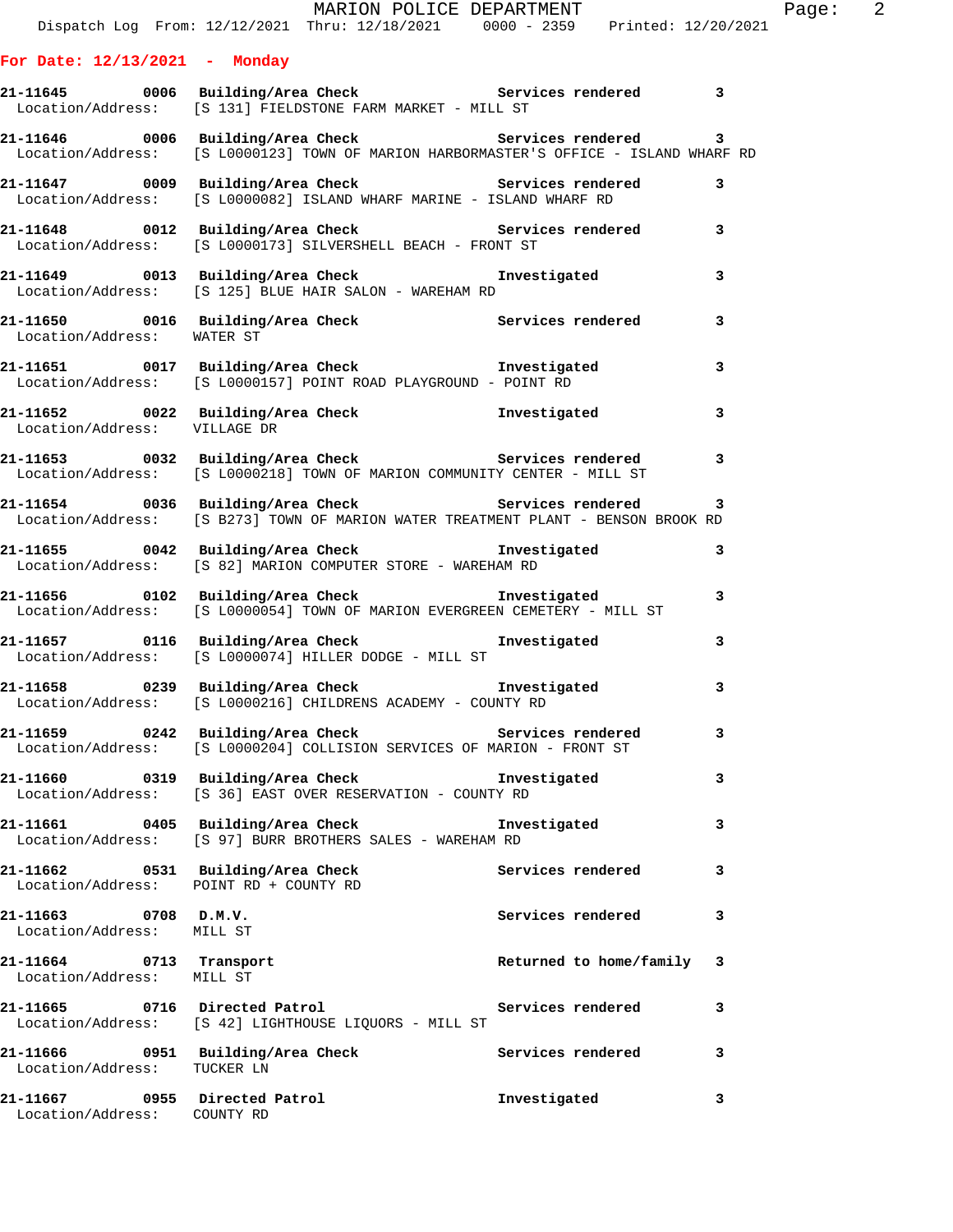|                                                              | MARION POLICE DEPARTMENT<br>Dispatch Log From: 12/12/2021 Thru: 12/18/2021 0000 - 2359 Printed: 12/20/2021                                            |                           |              | Page: $2$ |  |
|--------------------------------------------------------------|-------------------------------------------------------------------------------------------------------------------------------------------------------|---------------------------|--------------|-----------|--|
| For Date: $12/13/2021$ - Monday                              |                                                                                                                                                       |                           |              |           |  |
|                                                              |                                                                                                                                                       |                           |              |           |  |
|                                                              | 21-11645 0006 Building/Area Check 5ervices rendered 3<br>Location/Address: [S 131] FIELDSTONE FARM MARKET - MILL ST                                   |                           |              |           |  |
|                                                              | 21-11646 0006 Building/Area Check <b>Services</b> rendered 3<br>Location/Address: [S L0000123] TOWN OF MARION HARBORMASTER'S OFFICE - ISLAND WHARF RD |                           |              |           |  |
|                                                              | 21-11647 0009 Building/Area Check 6 Services rendered 3<br>Location/Address: [S L0000082] ISLAND WHARF MARINE - ISLAND WHARF RD                       |                           |              |           |  |
|                                                              | 21-11648 0012 Building/Area Check 5ervices rendered 3<br>Location/Address: [S L0000173] SILVERSHELL BEACH - FRONT ST                                  |                           |              |           |  |
|                                                              | 21-11649 0013 Building/Area Check <b>The Investigated</b> 3<br>Location/Address: [S 125] BLUE HAIR SALON - WAREHAM RD                                 |                           |              |           |  |
| Location/Address: WATER ST                                   | 21-11650 0016 Building/Area Check Services rendered                                                                                                   |                           | 3            |           |  |
|                                                              | 21-11651 0017 Building/Area Check <b>The Investigated</b><br>Location/Address: [S L0000157] POINT ROAD PLAYGROUND - POINT RD                          |                           | 3            |           |  |
|                                                              | 21-11652 0022 Building/Area Check 1nvestigated 3<br>Location/Address: VILLAGE DR                                                                      |                           |              |           |  |
|                                                              | 21-11653      0032  Building/Area Check          Services rendered<br>Location/Address: [S L0000218] TOWN OF MARION COMMUNITY CENTER - MILL ST        |                           | 3            |           |  |
|                                                              | 11654 0036 Building/Area Check Services rendered<br>Location/Address: [S B273] TOWN OF MARION WATER TREATMENT PLANT - BENSON BROOK RD                 |                           | 3            |           |  |
|                                                              | 21-11655 0042 Building/Area Check <b>Investigated</b><br>Location/Address: [S 82] MARION COMPUTER STORE - WAREHAM RD                                  |                           | 3            |           |  |
|                                                              | Location/Address: [S L0000054] TOWN OF MARION EVERGREEN CEMETERY - MILL ST                                                                            |                           | $\mathbf{3}$ |           |  |
|                                                              | Location/Address: [S L0000074] HILLER DODGE - MILL ST                                                                                                 |                           | 3            |           |  |
|                                                              | 21-11658 0239 Building/Area Check<br>Location/Address: [S L0000216] CHILDRENS ACADEMY - COUNTY RD                                                     | Investigated              | 3            |           |  |
|                                                              | 21-11659 		 0242 Building/Area Check 		 Services rendered<br>Location/Address: [S L0000204] COLLISION SERVICES OF MARION - FRONT ST                   |                           | 3            |           |  |
|                                                              | 21-11660 0319 Building/Area Check how investigated<br>Location/Address: [S 36] EAST OVER RESERVATION - COUNTY RD                                      |                           | 3            |           |  |
|                                                              | 21-11661 0405 Building/Area Check<br>Location/Address: [S 97] BURR BROTHERS SALES - WAREHAM RD                                                        | Investigated              | 3            |           |  |
| Location/Address: POINT RD + COUNTY RD                       | 21-11662 0531 Building/Area Check                                                                                                                     | Services rendered         | 3            |           |  |
| $21 - 11663$ 0708 D.M.V.<br>Location/Address: MILL ST        |                                                                                                                                                       | Services rendered         | 3            |           |  |
| 21-11664 0713 Transport<br>Location/Address: MILL ST         |                                                                                                                                                       | Returned to home/family 3 |              |           |  |
| 21-11665 0716 Directed Patrol                                | Location/Address: [S 42] LIGHTHOUSE LIQUORS - MILL ST                                                                                                 | Services rendered         | 3            |           |  |
| Location/Address: TUCKER LN                                  | 21-11666 0951 Building/Area Check Services rendered                                                                                                   |                           | 3            |           |  |
| 21-11667 0955 Directed Patrol<br>Location/Address: COUNTY RD |                                                                                                                                                       | Investigated              | 3            |           |  |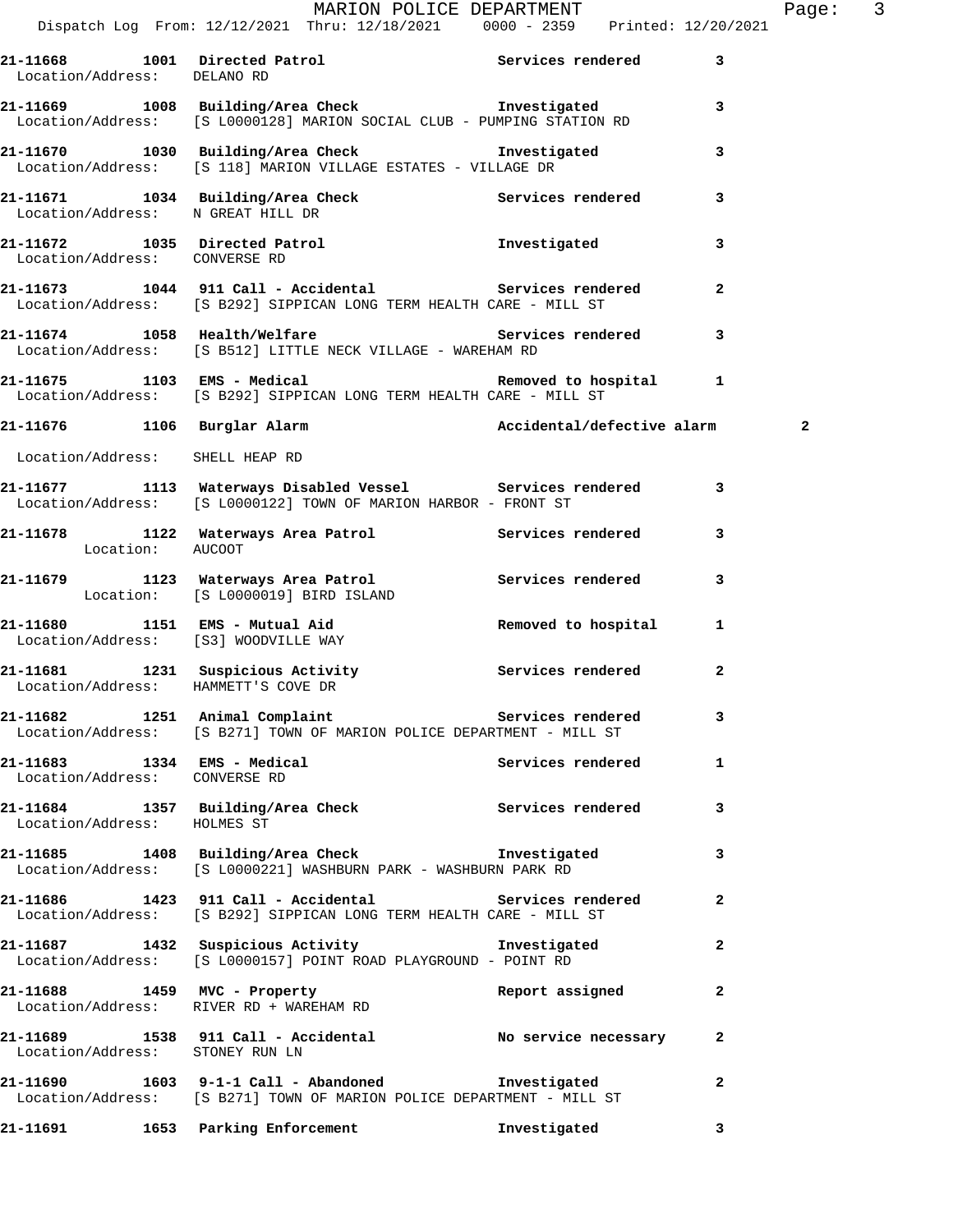| 21-11668 1001 Directed Patrol<br>Location/Address: DELANO RD |                                                                                                                                                              | Services rendered | 3              |
|--------------------------------------------------------------|--------------------------------------------------------------------------------------------------------------------------------------------------------------|-------------------|----------------|
|                                                              | 21-11669 1008 Building/Area Check 1nvestigated<br>Location/Address: [S L0000128] MARION SOCIAL CLUB - PUMPING STATION RD                                     |                   | 3              |
|                                                              | 21-11670 1030 Building/Area Check Tnvestigated<br>Location/Address: [S 118] MARION VILLAGE ESTATES - VILLAGE DR                                              |                   | 3              |
| Location/Address: N GREAT HILL DR                            | 21-11671 1034 Building/Area Check Services rendered                                                                                                          |                   | 3              |
| Location/Address: CONVERSE RD                                | 21-11672 1035 Directed Patrol 100 Investigated                                                                                                               |                   | 3              |
|                                                              | 21-11673 1044 911 Call - Accidental Services rendered<br>Location/Address: [S B292] SIPPICAN LONG TERM HEALTH CARE - MILL ST                                 |                   | $\mathbf{2}$   |
|                                                              | 21-11674 1058 Health/Welfare <b>120 Services</b> rendered 3<br>Location/Address: [S B512] LITTLE NECK VILLAGE - WAREHAM RD                                   |                   |                |
|                                                              | 21-11675 1103 EMS - Medical 1 Removed to hospital 1<br>Location/Address: [S B292] SIPPICAN LONG TERM HEALTH CARE - MILL ST                                   |                   |                |
|                                                              | 21-11676 1106 Burglar Alarm 1997 (Accidental/defective alarm                                                                                                 |                   | $\overline{a}$ |
| Location/Address: SHELL HEAP RD                              |                                                                                                                                                              |                   |                |
|                                                              | 21-11677 1113 Waterways Disabled Vessel Services rendered<br>Location/Address: [S L0000122] TOWN OF MARION HARBOR - FRONT ST                                 |                   | 3              |
| Location: AUCOOT                                             | 21-11678 1122 Waterways Area Patrol Services rendered 3                                                                                                      |                   |                |
|                                                              | 21-11679 1123 Waterways Area Patrol 1123 Services rendered<br>Location: [S L0000019] BIRD ISLAND                                                             |                   | 3              |
|                                                              | 21-11680      1151   EMS - Mutual Aid             Removed to hospital<br>Location/Address:    [S3] WOODVILLE WAY<br>Location/Address: [S3] WOODVILLE WAY     |                   | 1              |
| Location/Address: HAMMETT'S COVE DR                          | 21-11681 1231 Suspicious Activity Services rendered 2                                                                                                        |                   |                |
|                                                              | 21-11682                1251 Animal Complaint                     Services rendered<br>Location/Address: [S B271] TOWN OF MARION POLICE DEPARTMENT - MILL ST |                   | 3              |
| 21-11683 1334 EMS - Medical<br>Location/Address: CONVERSE RD |                                                                                                                                                              | Services rendered | 1              |
| Location/Address: HOLMES ST                                  | 21-11684 1357 Building/Area Check Services rendered                                                                                                          |                   | 3              |
|                                                              | 21-11685 1408 Building/Area Check 1nvestigated<br>Location/Address: [S L0000221] WASHBURN PARK - WASHBURN PARK RD                                            |                   | 3              |
|                                                              | 21-11686 1423 911 Call - Accidental Services rendered<br>Location/Address: [S B292] SIPPICAN LONG TERM HEALTH CARE - MILL ST                                 |                   | $\overline{a}$ |
|                                                              | 21-11687 1432 Suspicious Activity 1nvestigated<br>Location/Address: [S L0000157] POINT ROAD PLAYGROUND - POINT RD                                            |                   | $\mathbf{2}$   |
|                                                              | 21-11688 1459 MVC - Property<br>Location/Address: RIVER RD + WAREHAM RD                                                                                      | Report assigned   | $\mathbf{2}$   |
| Location/Address: STONEY RUN LN                              | 21-11689 1538 911 Call - Accidental No service necessary                                                                                                     |                   | $\mathbf{2}$   |
|                                                              | 21-11690   1603   9-1-1 Call - Abandoned   Investigated<br>Location/Address: [S B271] TOWN OF MARION POLICE DEPARTMENT - MILL ST                             |                   | $\mathbf{2}$   |
|                                                              | 21-11691 1653 Parking Enforcement                                                                                                                            | Investigated      | 3              |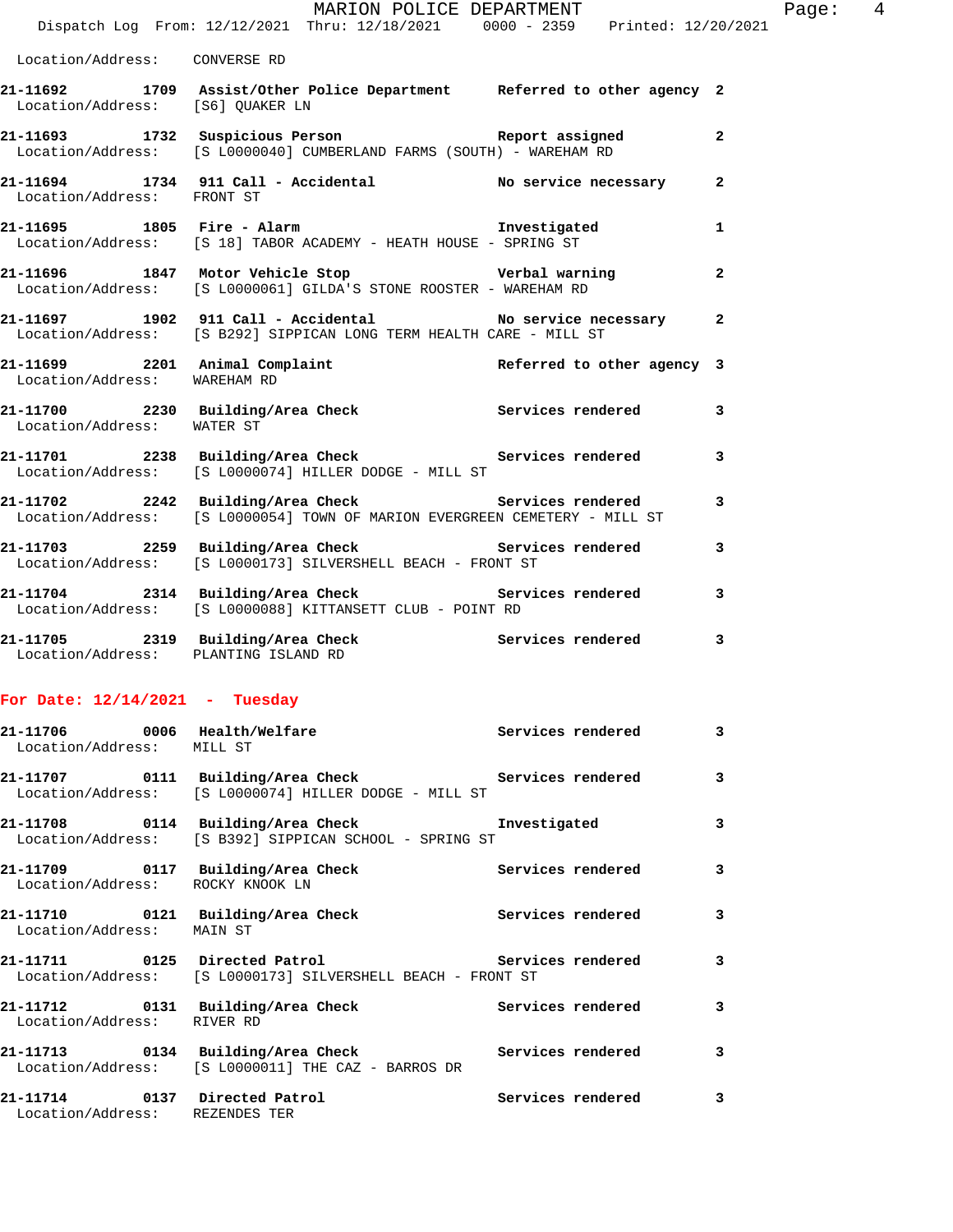|                                  | MARION POLICE DEPARTMENT<br>Dispatch Log From: 12/12/2021 Thru: 12/18/2021 0000 - 2359 Printed: 12/20/2021                                                                         |                                                     |                |
|----------------------------------|------------------------------------------------------------------------------------------------------------------------------------------------------------------------------------|-----------------------------------------------------|----------------|
| Location/Address: CONVERSE RD    |                                                                                                                                                                                    |                                                     |                |
| Location/Address: [S6] QUAKER LN | 21-11692 1709 Assist/Other Police Department Referred to other agency 2                                                                                                            |                                                     |                |
|                                  | 21-11693 1732 Suspicious Person Neport assigned<br>Location/Address: [S L0000040] CUMBERLAND FARMS (SOUTH) - WAREHAM RD                                                            |                                                     | $\mathbf{2}$   |
| Location/Address: FRONT ST       | 21-11694 1734 911 Call - Accidental No service necessary                                                                                                                           |                                                     | $\mathbf{2}$   |
|                                  | 21-11695 1805 Fire - Alarm National Resource of the Second Language of the Second Language of the Second Langu<br>Location/Address: [S 18] TABOR ACADEMY - HEATH HOUSE - SPRING ST |                                                     | 1              |
|                                  | 21-11696 1847 Motor Vehicle Stop Nerbal warning<br>Location/Address: [S L0000061] GILDA'S STONE ROOSTER - WAREHAM RD                                                               |                                                     | $\overline{a}$ |
|                                  | 21-11697 1902 911 Call - Accidental No service necessary<br>Location/Address: [S B292] SIPPICAN LONG TERM HEALTH CARE - MILL ST                                                    |                                                     | $\overline{a}$ |
| Location/Address: WAREHAM RD     | 21-11699 2201 Animal Complaint Referred to other agency 3<br>Location/Address: WAREHAM PD                                                                                          |                                                     |                |
| Location/Address: WATER ST       | 21-11700 2230 Building/Area Check <b>Services</b> rendered                                                                                                                         |                                                     | 3              |
|                                  |                                                                                                                                                                                    |                                                     |                |
|                                  | Location/Address: [S L0000074] HILLER DODGE - MILL ST                                                                                                                              | 21-11701 2238 Building/Area Check Services rendered | 3              |
|                                  | 21-11702 2242 Building/Area Check Services rendered<br>Location/Address: [S L0000054] TOWN OF MARION EVERGREEN CEMETERY - MILL ST                                                  |                                                     | 3              |
|                                  | 21-11703 2259 Building/Area Check Services rendered<br>Location/Address: [S L0000173] SILVERSHELL BEACH - FRONT ST                                                                 |                                                     | 3              |
|                                  | Location/Address: [S L0000088] KITTANSETT CLUB - POINT RD                                                                                                                          |                                                     | 3              |

Page: 4

## **For Date: 12/14/2021 - Tuesday**

| 21-11706 0006 Health/Welfare<br>Location/Address: MILL ST       |                                                                                                              | Services rendered | $\mathbf{3}$   |
|-----------------------------------------------------------------|--------------------------------------------------------------------------------------------------------------|-------------------|----------------|
|                                                                 | 21-11707 0111 Building/Area Check Services rendered<br>Location/Address: [S L0000074] HILLER DODGE - MILL ST |                   | 3              |
|                                                                 | 21-11708 0114 Building/Area Check Truestigated<br>Location/Address: [S B392] SIPPICAN SCHOOL - SPRING ST     |                   | 3              |
| Location/Address: ROCKY KNOOK LN                                | 21-11709 0117 Building/Area Check Services rendered                                                          |                   | $\mathbf{3}$   |
| Location/Address: MAIN ST                                       | 21-11710 0121 Building/Area Check                                                                            | Services rendered | $\overline{3}$ |
|                                                                 | Location/Address: [S L0000173] SILVERSHELL BEACH - FRONT ST                                                  |                   | 3              |
| Location/Address: RIVER RD                                      | 21-11712 0131 Building/Area Check                                                                            | Services rendered | 3              |
|                                                                 | 21-11713 0134 Building/Area Check 5ervices rendered<br>Location/Address: [S L0000011] THE CAZ - BARROS DR    |                   | 3              |
| 21-11714 0137 Directed Patrol<br>Location/Address: REZENDES TER |                                                                                                              | Services rendered | 3              |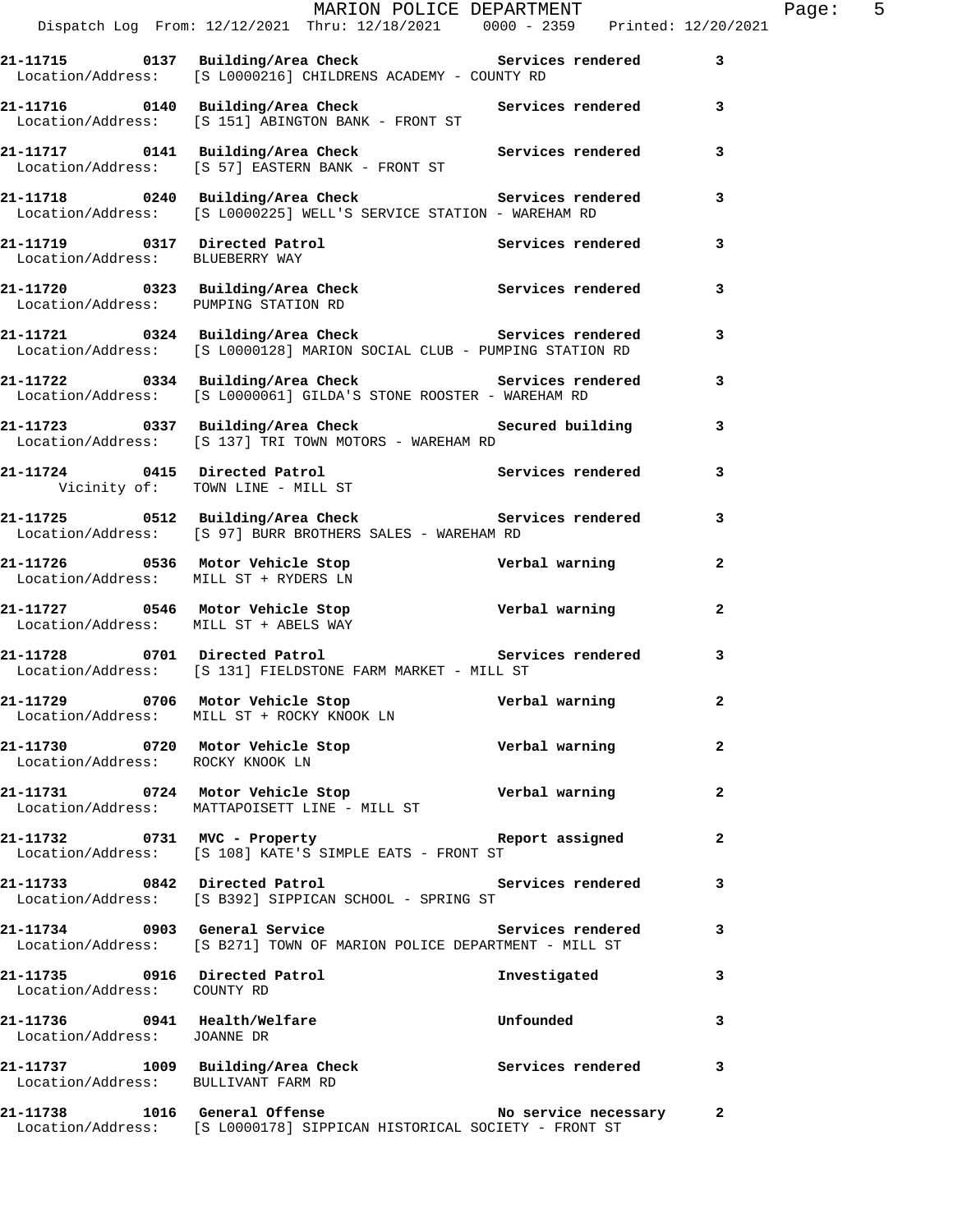|                                       | MARION POLICE DEPARTMENT<br>Dispatch Log From: 12/12/2021 Thru: 12/18/2021 0000 - 2359 Printed: 12/20/2021                           |                  |                | Page: 5 |  |
|---------------------------------------|--------------------------------------------------------------------------------------------------------------------------------------|------------------|----------------|---------|--|
|                                       |                                                                                                                                      |                  |                |         |  |
|                                       | 21-11715 0137 Building/Area Check 5ervices rendered 3<br>Location/Address: [S L0000216] CHILDRENS ACADEMY - COUNTY RD                |                  |                |         |  |
|                                       | 21-11716 		 0140 Building/Area Check 		 Services rendered 3<br>Location/Address: [S 151] ABINGTON BANK - FRONT ST                    |                  |                |         |  |
|                                       | 21-11717   0141   Building/Area Check   Services rendered<br>Location/Address: [S 57] EASTERN BANK - FRONT ST                        |                  | 3              |         |  |
|                                       | 21-11718 0240 Building/Area Check Services rendered 3<br>Location/Address: [S L0000225] WELL'S SERVICE STATION - WAREHAM RD          |                  |                |         |  |
|                                       | 21-11719 0317 Directed Patrol Services rendered 3<br>Location/Address: BLUEBERRY WAY                                                 |                  |                |         |  |
| Location/Address: PUMPING STATION RD  |                                                                                                                                      |                  | $\mathbf{3}$   |         |  |
|                                       | 21-11721 0324 Building/Area Check Services rendered 3<br>Location/Address: [S L0000128] MARION SOCIAL CLUB - PUMPING STATION RD      |                  |                |         |  |
|                                       | 21-11722 0334 Building/Area Check Services rendered 3<br>Location/Address: [S L0000061] GILDA'S STONE ROOSTER - WAREHAM RD           |                  |                |         |  |
|                                       | 21-11723 0337 Building/Area Check 6 Secured building 3<br>Location/Address: [S 137] TRI TOWN MOTORS - WAREHAM RD                     |                  |                |         |  |
|                                       | 21-11724 0415 Directed Patrol 21-11724 contracted particles in the Services rendered<br>Vicinity of: TOWN LINE - MILL ST             |                  | $\mathbf{3}$   |         |  |
|                                       | 21-11725 0512 Building/Area Check 5ervices rendered 3<br>Location/Address: [S 97] BURR BROTHERS SALES - WAREHAM RD                   |                  |                |         |  |
| Location/Address: MILL ST + RYDERS LN | 21-11726 0536 Motor Vehicle Stop Nerbal warning                                                                                      |                  | $\mathbf{2}$   |         |  |
|                                       | 21-11727 0546 Motor Vehicle Stop Controller verbal warning<br>Location/Address: MILL ST + ABELS WAY                                  |                  | $\overline{2}$ |         |  |
|                                       | 21-11728 0701 Directed Patrol 20 Services rendered 3<br>Location/Address: [S 131] FIELDSTONE FARM MARKET - MILL ST                   |                  |                |         |  |
|                                       | 21-11729 0706 Motor Vehicle Stop Nerbal warning<br>Location/Address: MILL ST + ROCKY KNOOK LN                                        |                  |                |         |  |
| Location/Address: ROCKY KNOOK LN      | 21-11730 0720 Motor Vehicle Stop Nerbal warning                                                                                      |                  | $\mathbf{2}$   |         |  |
|                                       | 21-11731 0724 Motor Vehicle Stop<br>Location/Address: MATTAPOISETT LINE - MILL ST                                                    | Verbal warning   | $\mathbf{2}$   |         |  |
|                                       | 21-11732 0731 MVC - Property Report assigned<br>Location/Address: [S 108] KATE'S SIMPLE EATS - FRONT ST                              |                  | $\mathbf{2}$   |         |  |
|                                       | 21-11733 0842 Directed Patrol (2008) Services rendered 3<br>Location/Address: [S B392] SIPPICAN SCHOOL - SPRING ST                   |                  |                |         |  |
|                                       | 21-11734 0903 General Service <b>1988 Services</b> rendered<br>Location/Address: [S B271] TOWN OF MARION POLICE DEPARTMENT - MILL ST |                  | 3              |         |  |
| Location/Address: COUNTY RD           | 21-11735 0916 Directed Patrol                                                                                                        | Investigated     | 3              |         |  |
| Location/Address: JOANNE DR           | 21-11736 0941 Health/Welfare                                                                                                         | <b>Unfounded</b> | 3              |         |  |
| Location/Address: BULLIVANT FARM RD   | 21-11737 1009 Building/Area Check Services rendered                                                                                  |                  | $\mathbf{3}$   |         |  |
|                                       | 21-11738 1016 General Offense No service necessary 2<br>Location/Address: [S L0000178] SIPPICAN HISTORICAL SOCIETY - FRONT ST        |                  |                |         |  |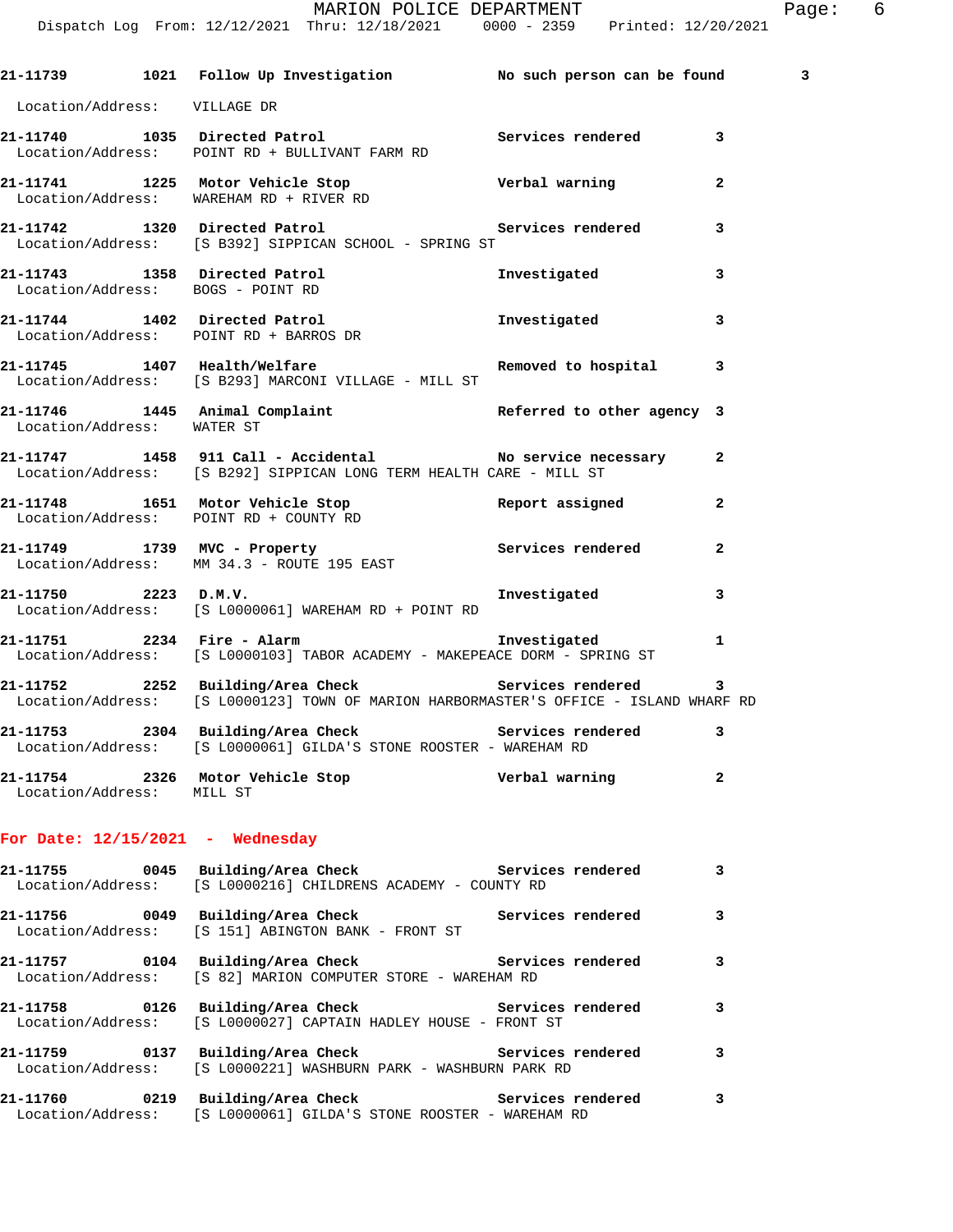## MARION POLICE DEPARTMENT FRAGIC Page: 6

Dispatch Log From: 12/12/2021 Thru: 12/18/2021 0000 - 2359 Printed: 12/20/2021

|                              | 21-11739 1021 Follow Up Investigation No such person can be found                                                                              |                            | 3              |
|------------------------------|------------------------------------------------------------------------------------------------------------------------------------------------|----------------------------|----------------|
| Location/Address: VILLAGE DR |                                                                                                                                                |                            |                |
|                              | 21-11740 1035 Directed Patrol <b>120 Services</b> rendered 3<br>Location/Address: POINT RD + BULLIVANT FARM RD                                 |                            |                |
|                              | 21-11741 1225 Motor Vehicle Stop<br>Location/Address: WAREHAM RD + RIVER RD                                                                    | Verbal warning             | $\overline{a}$ |
|                              | 21-11742 1320 Directed Patrol 1997 Services rendered<br>Location/Address: [S B392] SIPPICAN SCHOOL - SPRING ST                                 |                            | 3              |
|                              | 21-11743 1358 Directed Patrol Moratigated Investigated Location/Address: BOGS - POINT RD                                                       |                            | 3              |
|                              | Location/Address: POINT RD + BARROS DR                                                                                                         |                            | 3              |
|                              | 21-11745 1407 Health/Welfare <b>1200 Removed</b> to hospital 3<br>Location/Address: [S B293] MARCONI VILLAGE - MILL ST                         |                            |                |
| Location/Address: WATER ST   | 21-11746 1445 Animal Complaint                                                                                                                 | Referred to other agency 3 |                |
|                              | 21-11747 1458 911 Call - Accidental No service necessary 2<br>Location/Address: [S B292] SIPPICAN LONG TERM HEALTH CARE - MILL ST              |                            |                |
|                              | 21-11748 1651 Motor Vehicle Stop Report assigned<br>Location/Address: POINT RD + COUNTY RD                                                     |                            | $\mathbf{2}$   |
|                              | 21-11749 1739 MVC - Property 1999 Services rendered<br>Location/Address: MM 34.3 - ROUTE 195 EAST                                              |                            | $\overline{a}$ |
|                              | 21-11750 2223 D.M.V.<br>Location/Address: [S L0000061] WAREHAM RD + POINT RD                                                                   | Investigated               | 3              |
|                              | 21-11751 2234 Fire - Alarm<br>Location/Address: [S L0000103] TABOR ACADEMY - MAKEPEACE DORM - SPRING ST                                        | Investigated               | $\mathbf{1}$   |
|                              | 21-11752 2252 Building/Area Check Services rendered 3<br>Location/Address: [S L0000123] TOWN OF MARION HARBORMASTER'S OFFICE - ISLAND WHARF RD |                            |                |
|                              | 21-11753 2304 Building/Area Check 5ervices rendered 3<br>Location/Address: [S L0000061] GILDA'S STONE ROOSTER - WAREHAM RD                     |                            |                |
| Location/Address: MILL ST    | 21-11754 2326 Motor Vehicle Stop Nerbal warning                                                                                                |                            | $\overline{2}$ |
|                              | For Date: $12/15/2021$ - Wednesday                                                                                                             |                            |                |
|                              | 21-11755 0045 Building/Area Check 5ervices rendered<br>Location/Address: [S L0000216] CHILDRENS ACADEMY - COUNTY RD                            |                            | 3              |
|                              | 21-11756 0049 Building/Area Check 5ervices rendered<br>Location/Address: [S 151] ABINGTON BANK - FRONT ST                                      |                            | 3              |
|                              | 21-11757 0104 Building/Area Check Services rendered<br>Location/Address: [S 82] MARION COMPUTER STORE - WAREHAM RD                             |                            | 3              |
|                              | 21-11758 0126 Building/Area Check 5ervices rendered<br>Location/Address: [S L0000027] CAPTAIN HADLEY HOUSE - FRONT ST                          |                            | 3              |
|                              | 21-11759 0137 Building/Area Check Services rendered<br>Location/Address: [S L0000221] WASHBURN PARK - WASHBURN PARK RD                         |                            | 3              |
|                              | 21-11760 0219 Building/Area Check Services rendered<br>Location/Address: [S L0000061] GILDA'S STONE ROOSTER - WAREHAM RD                       |                            | 3              |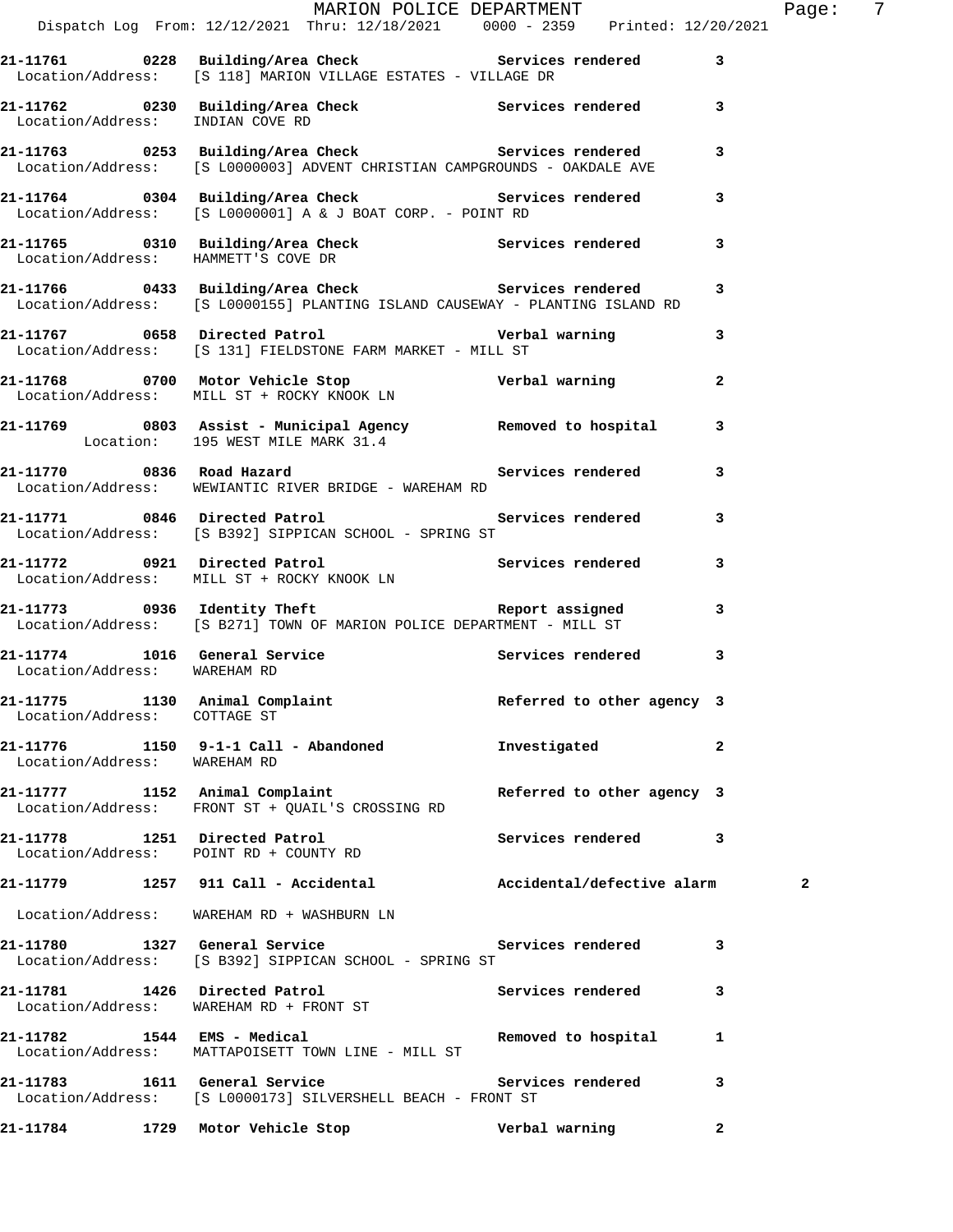|                              |                                                                                                                                                        | MARION POLICE DEPARTMENT   |                | Page: 7 |  |
|------------------------------|--------------------------------------------------------------------------------------------------------------------------------------------------------|----------------------------|----------------|---------|--|
|                              | Dispatch Log From: 12/12/2021 Thru: 12/18/2021 0000 - 2359 Printed: 12/20/2021                                                                         |                            |                |         |  |
|                              | 21-11761 0228 Building/Area Check Services rendered 3<br>Location/Address: [S 118] MARION VILLAGE ESTATES - VILLAGE DR                                 |                            |                |         |  |
|                              | 21-11762 0230 Building/Area Check Services rendered 3<br>Location/Address: INDIAN COVE RD                                                              |                            |                |         |  |
|                              | 21-11763 0253 Building/Area Check Services rendered 3<br>Location/Address: [S L0000003] ADVENT CHRISTIAN CAMPGROUNDS - OAKDALE AVE                     |                            |                |         |  |
|                              | 21-11764 0304 Building/Area Check Services rendered 3<br>Location/Address: [S L0000001] A & J BOAT CORP. - POINT RD                                    |                            |                |         |  |
|                              | 21-11765 0310 Building/Area Check Services rendered 3<br>Location/Address: HAMMETT'S COVE DR                                                           |                            |                |         |  |
|                              | 21-11766      0433   Building/Area Check           Services rendered<br>Location/Address:   [S L0000155] PLANTING ISLAND CAUSEWAY - PLANTING ISLAND RD |                            | 3              |         |  |
|                              | 21-11767 0658 Directed Patrol 21-11767 0658 011 Patrol<br>Location/Address: [S 131] FIELDSTONE FARM MARKET - MILL ST                                   |                            |                |         |  |
|                              | 21-11768 0700 Motor Vehicle Stop <b>1988 verbal warning</b><br>Location/Address: MILL ST + ROCKY KNOOK LN                                              |                            | $\mathbf{2}$   |         |  |
|                              | 21-11769 0803 Assist - Municipal Agency Removed to hospital 3<br>Location: 195 WEST MILE MARK 31.4                                                     |                            |                |         |  |
|                              | Location/Address: WEWIANTIC RIVER BRIDGE - WAREHAM RD                                                                                                  |                            | 3              |         |  |
|                              | 21-11771 0846 Directed Patrol <b>120 CEA</b> Services rendered 3<br>Location/Address: [S B392] SIPPICAN SCHOOL - SPRING ST                             |                            |                |         |  |
|                              | 21-11772 0921 Directed Patrol 11 12 Services rendered<br>Location/Address: MILL ST + ROCKY KNOOK LN                                                    |                            | 3              |         |  |
|                              | Location/Address: [S B271] TOWN OF MARION POLICE DEPARTMENT - MILL ST                                                                                  |                            | 3              |         |  |
| Location/Address: WAREHAM RD | 21-11774 1016 General Service 21 Services rendered 3                                                                                                   |                            |                |         |  |
| Location/Address: COTTAGE ST | 21-11775 1130 Animal Complaint <b>120 Referred</b> to other agency 3                                                                                   |                            |                |         |  |
| Location/Address: WAREHAM RD | 21-11776 1150 9-1-1 Call - Abandoned Monostigated                                                                                                      |                            | $\overline{a}$ |         |  |
|                              | 21-11777 1152 Animal Complaint<br>Location/Address: FRONT ST + QUAIL'S CROSSING RD                                                                     | Referred to other agency 3 |                |         |  |
|                              | 21-11778 1251 Directed Patrol 1 2011 Services rendered 3<br>Location/Address: POINT RD + COUNTY RD                                                     |                            |                |         |  |
|                              | 21-11779 1257 911 Call - Accidental Maccidental/defective alarm 2                                                                                      |                            |                |         |  |
|                              | Location/Address: WAREHAM RD + WASHBURN LN                                                                                                             |                            |                |         |  |
|                              | 21-11780 1327 General Service Services rendered<br>Location/Address: [S B392] SIPPICAN SCHOOL - SPRING ST                                              |                            | 3              |         |  |
|                              | 21-11781 1426 Directed Patrol<br>Location/Address: WAREHAM RD + FRONT ST                                                                               | Services rendered          | 3              |         |  |
|                              | 21-11782 1544 EMS - Medical and Removed to hospital<br>Location/Address: MATTAPOISETT TOWN LINE - MILL ST                                              |                            | -1             |         |  |
|                              | 21-11783 1611 General Service 21 Services rendered<br>Location/Address: [S L0000173] SILVERSHELL BEACH - FRONT ST                                      |                            | 3              |         |  |
|                              |                                                                                                                                                        |                            | $\mathbf{2}$   |         |  |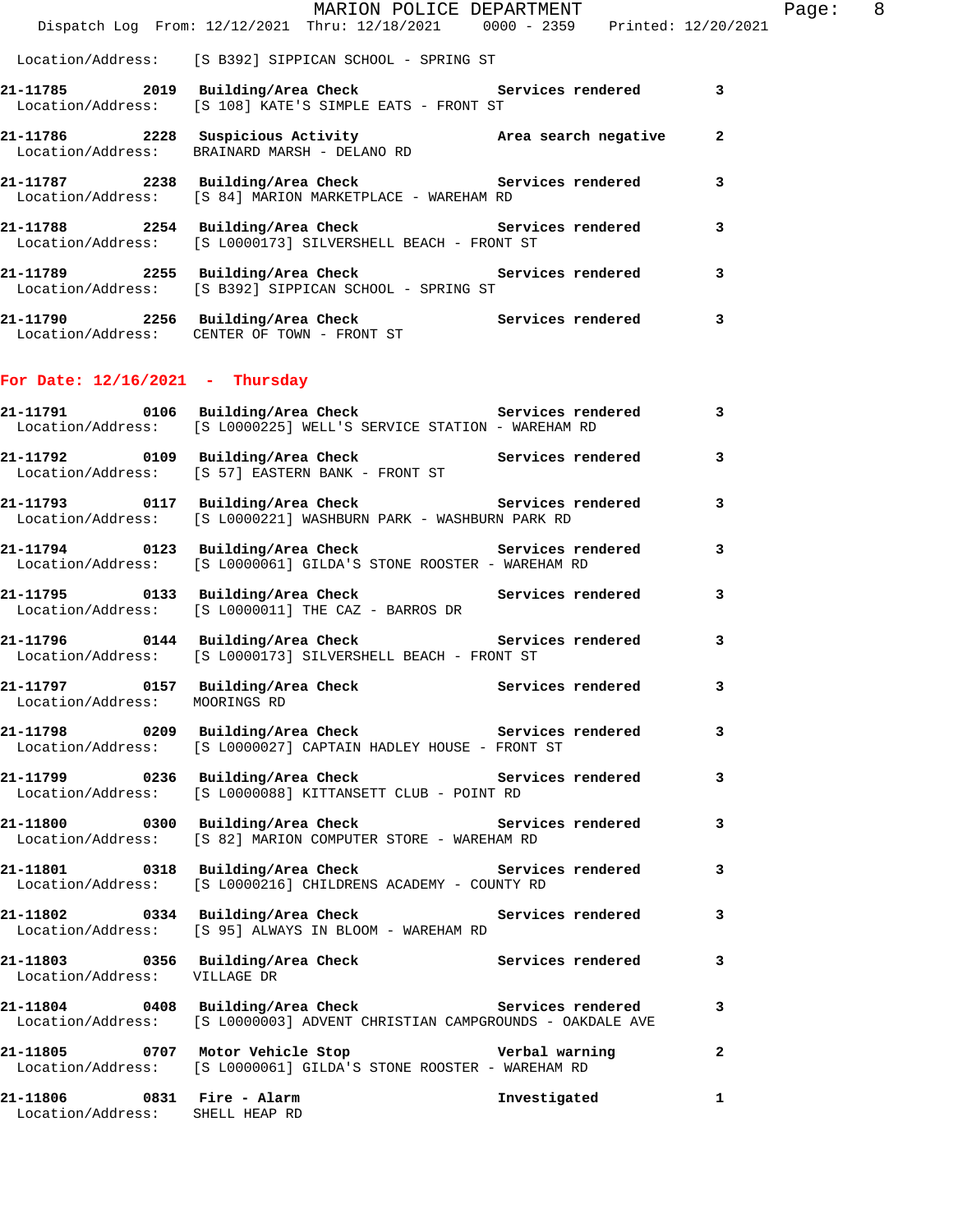|  | MARION POLICE DEPARTMENT<br>Dispatch Log From: 12/12/2021 Thru: 12/18/2021 0000 - 2359 Printed: 12/20/2021         |                |
|--|--------------------------------------------------------------------------------------------------------------------|----------------|
|  | Location/Address: [S B392] SIPPICAN SCHOOL - SPRING ST                                                             |                |
|  | 21-11785 2019 Building/Area Check Services rendered<br>Location/Address: [S 108] KATE'S SIMPLE EATS - FRONT ST     | 3              |
|  | Location/Address: BRAINARD MARSH - DELANO RD                                                                       | $\overline{a}$ |
|  | 21-11787 2238 Building/Area Check Services rendered<br>Location/Address: [S 84] MARION MARKETPLACE - WAREHAM RD    | 3              |
|  | 21-11788 2254 Building/Area Check Services rendered<br>Location/Address: [S L0000173] SILVERSHELL BEACH - FRONT ST | 3              |
|  | 21-11789 2255 Building/Area Check Services rendered<br>Location/Address: [S B392] SIPPICAN SCHOOL - SPRING ST      | 3              |
|  | 21-11790 2256 Building/Area Check Services rendered<br>Location/Address: CENTER OF TOWN - FRONT ST                 | 3              |
|  |                                                                                                                    |                |

**21-11791 0106 Building/Area Check Services rendered 3** 

## **For Date: 12/16/2021 - Thursday**

|                                                               | Location/Address: [S L0000225] WELL'S SERVICE STATION - WAREHAM RD                                                                 |              |                         |
|---------------------------------------------------------------|------------------------------------------------------------------------------------------------------------------------------------|--------------|-------------------------|
|                                                               | 21-11792 0109 Building/Area Check Services rendered<br>Location/Address: [S 57] EASTERN BANK - FRONT ST                            |              | $\overline{\mathbf{3}}$ |
|                                                               | 21-11793 0117 Building/Area Check Services rendered<br>Location/Address: [S L0000221] WASHBURN PARK - WASHBURN PARK RD             |              | 3                       |
|                                                               | 21-11794 0123 Building/Area Check Services rendered<br>Location/Address: [S L0000061] GILDA'S STONE ROOSTER - WAREHAM RD           |              | 3                       |
|                                                               | 21-11795 0133 Building/Area Check Services rendered<br>Location/Address: [S L0000011] THE CAZ - BARROS DR                          |              | 3                       |
|                                                               | 21-11796 0144 Building/Area Check Services rendered<br>Location/Address: [S L0000173] SILVERSHELL BEACH - FRONT ST                 |              | 3                       |
| Location/Address: MOORINGS RD                                 | 21-11797 0157 Building/Area Check Services rendered                                                                                |              | 3                       |
|                                                               | 21-11798 0209 Building/Area Check 6 Services rendered<br>Location/Address: [S L0000027] CAPTAIN HADLEY HOUSE - FRONT ST            |              | 3                       |
|                                                               | 21-11799 0236 Building/Area Check Services rendered<br>Location/Address: [S L0000088] KITTANSETT CLUB - POINT RD                   |              | 3                       |
|                                                               | 21-11800 0300 Building/Area Check 6 Services rendered<br>Location/Address: [S 82] MARION COMPUTER STORE - WAREHAM RD               |              | 3                       |
|                                                               | 21-11801 0318 Building/Area Check 5ervices rendered<br>Location/Address: [S L0000216] CHILDRENS ACADEMY - COUNTY RD                |              | 3                       |
|                                                               | Location/Address: [S 95] ALWAYS IN BLOOM - WAREHAM RD                                                                              |              | 3                       |
| Location/Address: VILLAGE DR                                  | 21-11803 0356 Building/Area Check Services rendered                                                                                |              | 3                       |
|                                                               | 21-11804 0408 Building/Area Check 6 Services rendered<br>Location/Address: [S L0000003] ADVENT CHRISTIAN CAMPGROUNDS - OAKDALE AVE |              | 3                       |
|                                                               | 21-11805 0707 Motor Vehicle Stop 1980 Verbal warning<br>Location/Address: [S L0000061] GILDA'S STONE ROOSTER - WAREHAM RD          |              | $\overline{a}$          |
| 21-11806 0831 Fire - Alarm<br>Location/Address: SHELL HEAP RD |                                                                                                                                    | Investigated | $\mathbf{1}$            |

Page: 8<br>2021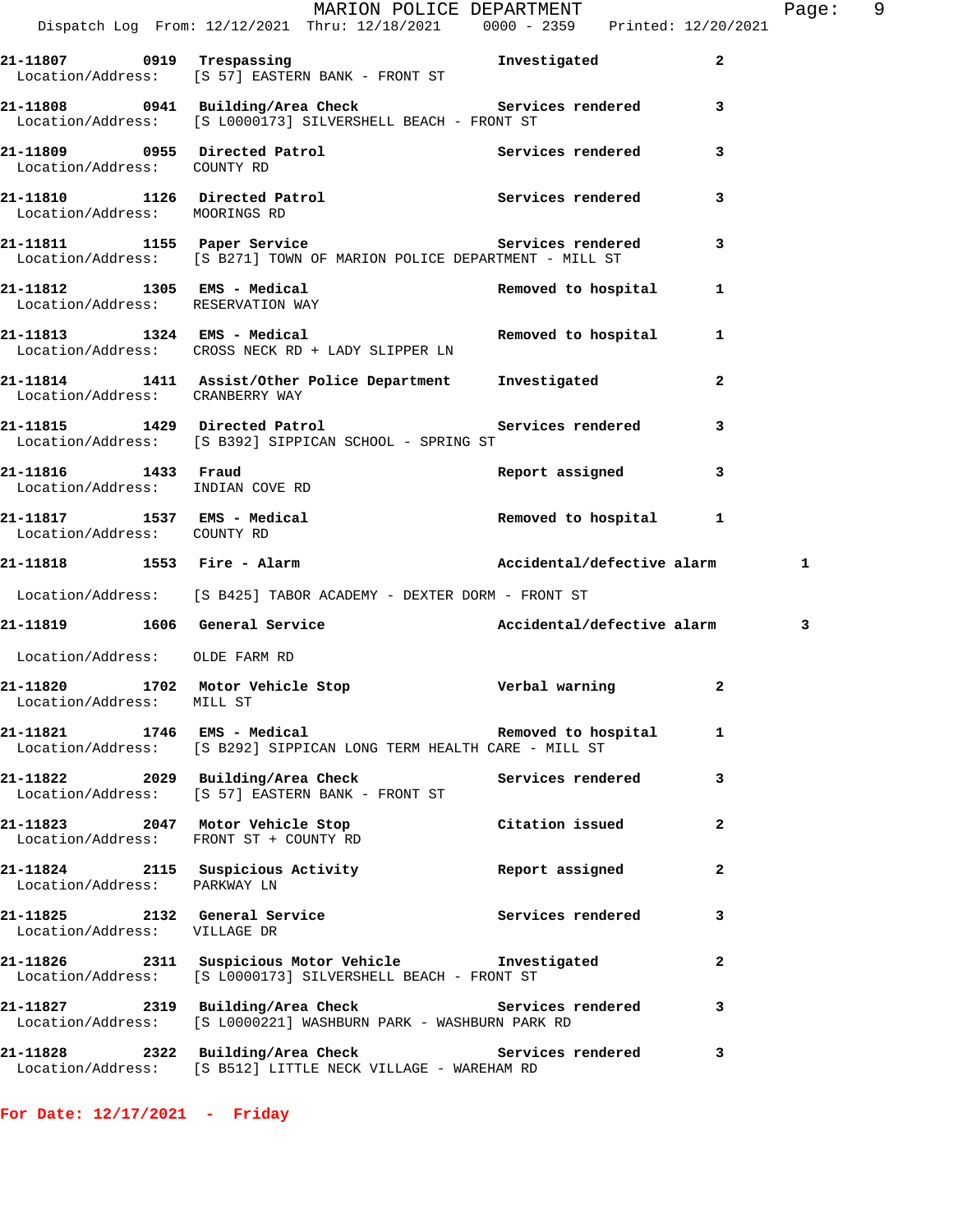|                                                         | MARION POLICE DEPARTMENT<br>Dispatch Log From: 12/12/2021 Thru: 12/18/2021 0000 - 2359 Printed: 12/20/2021                     |                       |              | Page: 9 |  |
|---------------------------------------------------------|--------------------------------------------------------------------------------------------------------------------------------|-----------------------|--------------|---------|--|
|                                                         |                                                                                                                                |                       |              |         |  |
|                                                         | 21-11807 0919 Trespassing<br>Location/Address: [S 57] EASTERN BANK - FRONT ST<br>Investigated                                  |                       | $\mathbf{2}$ |         |  |
|                                                         | 21-11808 0941 Building/Area Check 6 Services rendered 3<br>Location/Address: [S L0000173] SILVERSHELL BEACH - FRONT ST         |                       |              |         |  |
|                                                         | 21-11809 0955 Directed Patrol Services rendered <a> Location/Address: COUNTY<br/> RD</a>                                       |                       | 3            |         |  |
| Location/Address: MOORINGS RD                           | 21-11810 1126 Directed Patrol 120 Services rendered                                                                            |                       | 3            |         |  |
|                                                         | 21-11811 1155 Paper Service Service Services rendered<br>Location/Address: [S B271] TOWN OF MARION POLICE DEPARTMENT - MILL ST |                       | 3            |         |  |
| Location/Address: RESERVATION WAY                       | 21-11812 1305 EMS - Medical                                                                                                    | Removed to hospital   | 1            |         |  |
|                                                         | 21-11813 1324 EMS - Medical 1 Removed to hospital 1<br>Location/Address: CROSS NECK RD + LADY SLIPPER LN                       |                       |              |         |  |
| Location/Address: CRANBERRY WAY                         | 21-11814 1411 Assist/Other Police Department Investigated                                                                      |                       | $\mathbf{2}$ |         |  |
|                                                         | 21-11815 1429 Directed Patrol 5 Services rendered 3<br>Location/Address: [S B392] SIPPICAN SCHOOL - SPRING ST                  |                       |              |         |  |
| 21-11816 1433 Fraud<br>Location/Address: INDIAN COVE RD |                                                                                                                                | Report assigned       | 3            |         |  |
| Location/Address: COUNTY RD                             | 21-11817 1537 EMS - Medical                                                                                                    | Removed to hospital 1 |              |         |  |
|                                                         | 21-11818 1553 Fire - Alarm National Accidental/defective alarm                                                                 |                       |              | 1       |  |
|                                                         | Location/Address: [S B425] TABOR ACADEMY - DEXTER DORM - FRONT ST                                                              |                       |              |         |  |
|                                                         | 21-11819 1606 General Service 21 Accidental/defective alarm                                                                    |                       |              | 3       |  |
| Location/Address: OLDE FARM RD                          |                                                                                                                                |                       |              |         |  |
| Location/Address: MILL ST                               | 21-11820 1702 Motor Vehicle Stop Nerbal warning                                                                                |                       | $\mathbf{2}$ |         |  |
|                                                         | 21-11821 1746 EMS - Medical Nemoved to hospital<br>Location/Address: [S B292] SIPPICAN LONG TERM HEALTH CARE - MILL ST         |                       | 1            |         |  |
|                                                         | 21-11822 2029 Building/Area Check Services rendered<br>Location/Address: [S 57] EASTERN BANK - FRONT ST                        |                       | 3            |         |  |
|                                                         | 21-11823 2047 Motor Vehicle Stop<br>Location/Address: FRONT ST + COUNTY RD                                                     | Citation issued       | $\mathbf{2}$ |         |  |
| Location/Address: PARKWAY LN                            | 21-11824 2115 Suspicious Activity                                                                                              | Report assigned       | $\mathbf{2}$ |         |  |
| Location/Address: VILLAGE DR                            | 21-11825 2132 General Service                                                                                                  | Services rendered     | 3            |         |  |
|                                                         | 21-11826 2311 Suspicious Motor Vehicle Threstigated<br>Location/Address: [S L0000173] SILVERSHELL BEACH - FRONT ST             |                       | 2            |         |  |
|                                                         | 21-11827 2319 Building/Area Check Services rendered<br>Location/Address: [S L0000221] WASHBURN PARK - WASHBURN PARK RD         |                       | 3            |         |  |
|                                                         | 21-11828 2322 Building/Area Check Services rendered<br>Location/Address: [S B512] LITTLE NECK VILLAGE - WAREHAM RD             |                       | 3            |         |  |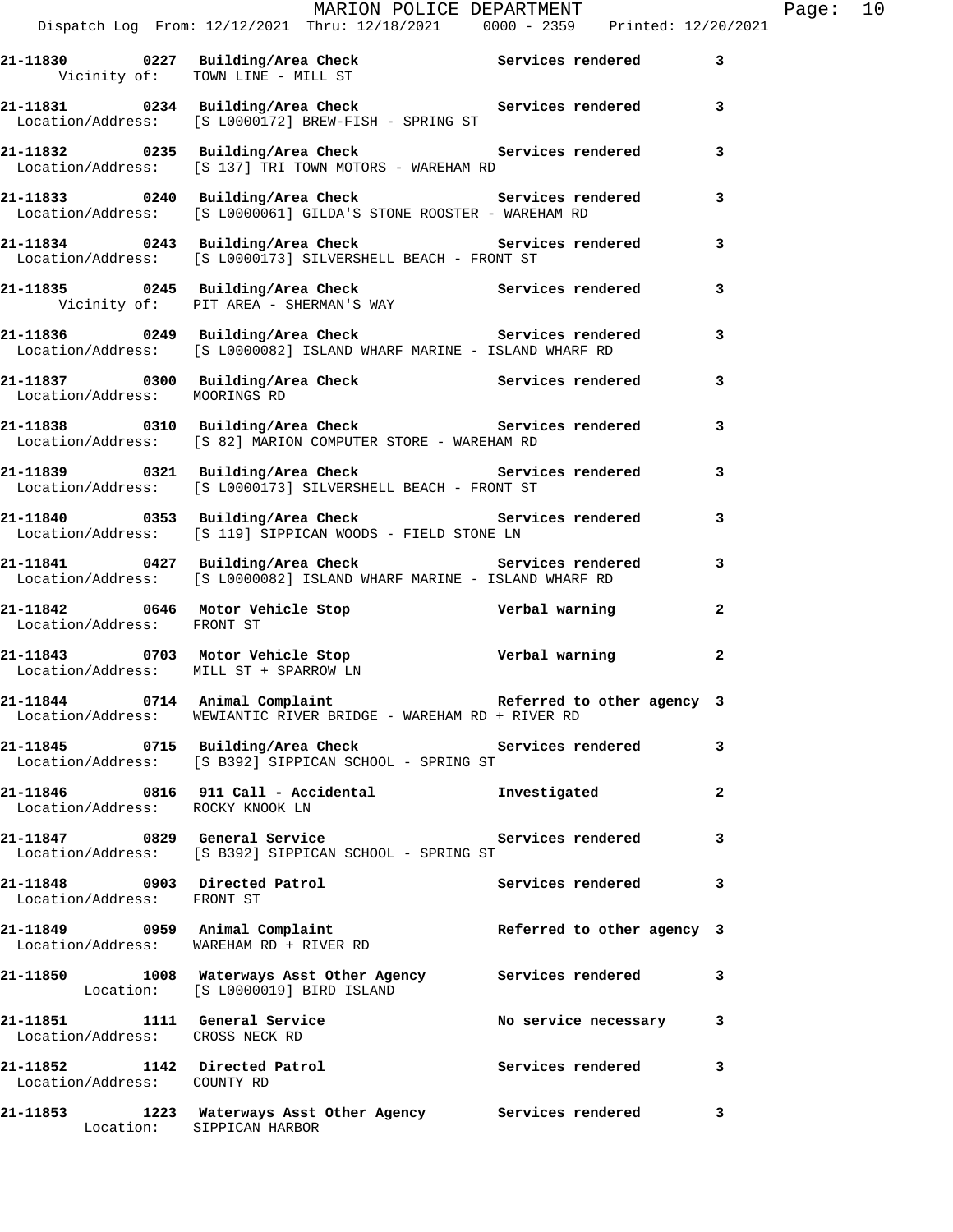|                                                                  | 21-11830 0227 Building/Area Check Services rendered 3<br>Vicinity of: TOWN LINE - MILL ST                                                            |                            |                         |
|------------------------------------------------------------------|------------------------------------------------------------------------------------------------------------------------------------------------------|----------------------------|-------------------------|
|                                                                  | 21-11831 0234 Building/Area Check Services rendered<br>Location/Address: [S L0000172] BREW-FISH - SPRING ST                                          |                            | $\overline{\mathbf{3}}$ |
|                                                                  | 21-11832 		 0235 Building/Area Check 		 Services rendered<br>Location/Address: [S 137] TRI TOWN MOTORS - WAREHAM RD                                  |                            | $\overline{\mathbf{3}}$ |
|                                                                  | 21-11833 0240 Building/Area Check 5ervices rendered<br>Location/Address: [S L0000061] GILDA'S STONE ROOSTER - WAREHAM RD                             |                            | 3                       |
|                                                                  | 21-11834 0243 Building/Area Check Services rendered<br>Location/Address: [S L0000173] SILVERSHELL BEACH - FRONT ST                                   |                            | $\mathbf{3}$            |
|                                                                  | 21-11835 0245 Building/Area Check Services rendered<br>Vicinity of: PIT AREA - SHERMAN'S WAY                                                         |                            | 3                       |
|                                                                  | 21-11836 <a>&gt; 0249 Building/Area Check <a>&gt; Services rendered<br/>Location/Address: [S L0000082] ISLAND WHARF MARINE - ISLAND WHARF RD</a></a> |                            | 3                       |
| Location/Address: MOORINGS RD                                    | 21-11837 0300 Building/Area Check Services rendered                                                                                                  |                            | 3                       |
|                                                                  | 21-11838 0310 Building/Area Check Services rendered<br>Location/Address: [S 82] MARION COMPUTER STORE - WAREHAM RD                                   |                            | 3                       |
| Location/Address:                                                | 21-11839 0321 Building/Area Check Services rendered<br>[S L0000173] SILVERSHELL BEACH - FRONT ST                                                     |                            | $\overline{\mathbf{3}}$ |
| Location/Address:                                                | 21-11840 0353 Building/Area Check Services rendered<br>[S 119] SIPPICAN WOODS - FIELD STONE LN                                                       |                            | 3                       |
|                                                                  | 21-11841 0427 Building/Area Check Services rendered<br>Location/Address: [S L0000082] ISLAND WHARF MARINE - ISLAND WHARF RD                          |                            | $\overline{\mathbf{3}}$ |
| Location/Address: FRONT ST                                       | 21-11842 0646 Motor Vehicle Stop Nerbal warning                                                                                                      |                            | $\overline{a}$          |
|                                                                  | 21-11843 0703 Motor Vehicle Stop Verbal warning 2<br>Location/Address: MILL ST + SPARROW LN<br>Location/Address: MILL ST + SPARROW LN                |                            |                         |
|                                                                  | 21-11844 0714 Animal Complaint <b>120 Complaint</b> Referred to other agency 3<br>Location/Address: WEWIANTIC RIVER BRIDGE - WAREHAM RD + RIVER RD   |                            |                         |
|                                                                  | 21-11845 0715 Building/Area Check Services rendered 3<br>Location/Address: [S B392] SIPPICAN SCHOOL - SPRING ST                                      |                            |                         |
| Location/Address: ROCKY KNOOK LN                                 |                                                                                                                                                      | Investigated               | $\overline{2}$          |
|                                                                  | Location/Address: [S B392] SIPPICAN SCHOOL - SPRING ST                                                                                               | Services rendered          | 3                       |
| 21-11848 0903 Directed Patrol<br>Location/Address: FRONT ST      |                                                                                                                                                      | Services rendered          | 3                       |
| 21-11849 0959 Animal Complaint                                   | Location/Address: WAREHAM RD + RIVER RD                                                                                                              | Referred to other agency 3 |                         |
|                                                                  | 21-11850 1008 Waterways Asst Other Agency Services rendered<br>Location: [S L0000019] BIRD ISLAND                                                    |                            | 3                       |
| 21-11851 1111 General Service<br>Location/Address: CROSS NECK RD |                                                                                                                                                      | No service necessary 3     |                         |
| 21-11852 1142 Directed Patrol<br>Location/Address: COUNTY RD     |                                                                                                                                                      | Services rendered          | 3                       |
|                                                                  | 21-11853 1223 Waterways Asst Other Agency Services rendered<br>Location: SIPPICAN HARBOR                                                             |                            | $\mathbf{3}$            |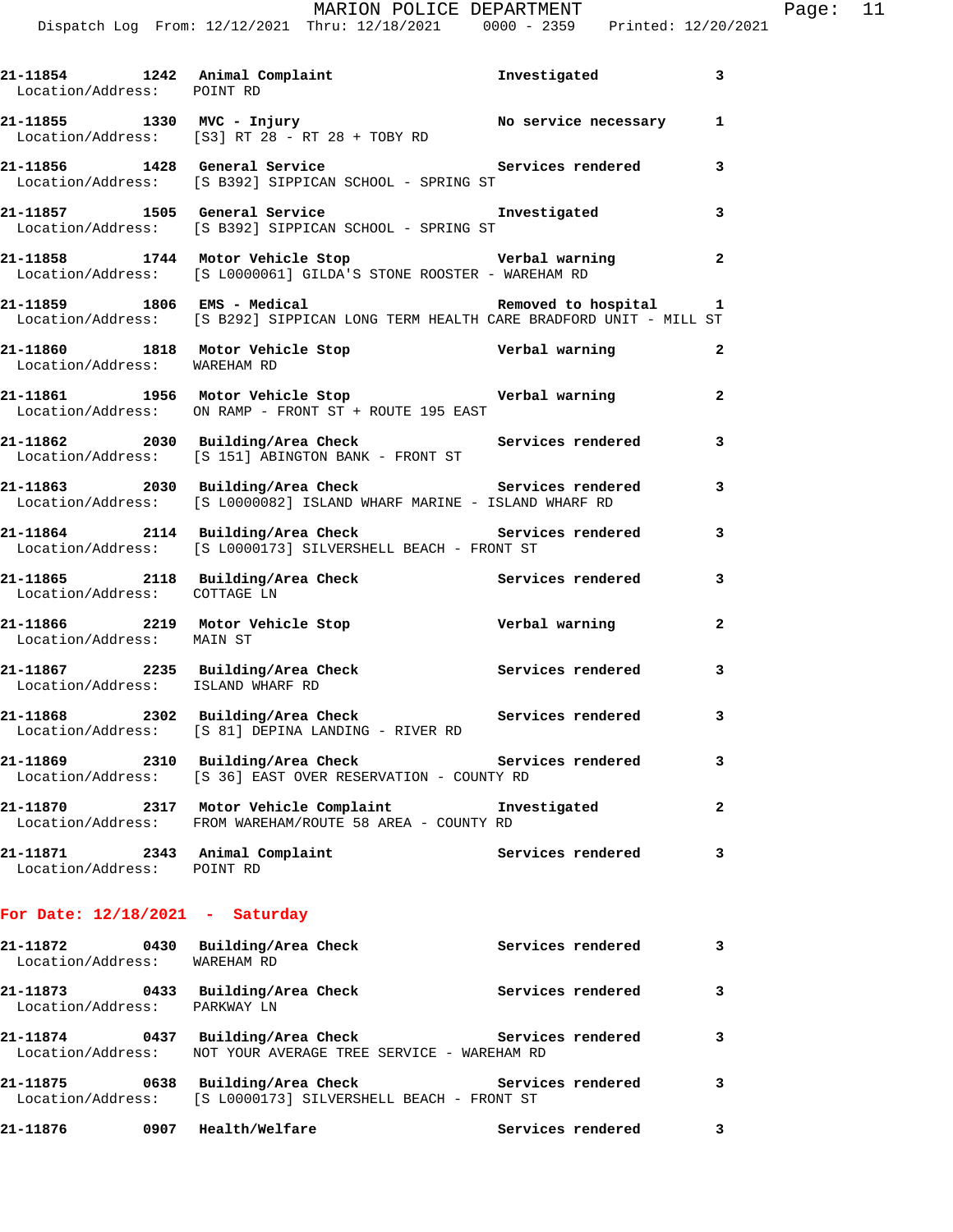| Location/Address: POINT RD                                        | 21-11854 1242 Animal Complaint 111854 11242 1242                                                                               |                       |                         |
|-------------------------------------------------------------------|--------------------------------------------------------------------------------------------------------------------------------|-----------------------|-------------------------|
|                                                                   | 21-11855 1330 MVC - Injury<br>Location/Address: [S3] RT 28 - RT 28 + TOBY RD<br>Location/Address: [S3] RT 28 - RT 28 + TOBY RD |                       |                         |
|                                                                   | 21-11856 1428 General Service 21 Services rendered 3<br>Location/Address: [S B392] SIPPICAN SCHOOL - SPRING ST                 |                       |                         |
|                                                                   | 21-11857 1505 General Service<br>Location/Address: [S B392] SIPPICAN SCHOOL - SPRING ST                                        | Investigated 3        |                         |
|                                                                   | 21-11858 1744 Motor Vehicle Stop 5 6 Verbal warning 2<br>Location/Address: [S L0000061] GILDA'S STONE ROOSTER - WAREHAM RD     |                       |                         |
|                                                                   | 21-11859 1806 EMS - Medical<br>Location/Address: [S B292] SIPPICAN LONG TERM HEALTH CARE BRADFORD UNIT - MILL ST               | Removed to hospital 1 |                         |
| Location/Address: WAREHAM RD                                      | 21-11860 1818 Motor Vehicle Stop Nerbal warning                                                                                |                       | $\mathbf{2}$            |
|                                                                   | 21-11861 1956 Motor Vehicle Stop Northern Verbal warning 2<br>Location/Address: ON RAMP - FRONT ST + ROUTE 195 EAST            |                       |                         |
|                                                                   | 21-11862 2030 Building/Area Check Services rendered<br>Location/Address: [S 151] ABINGTON BANK - FRONT ST                      |                       | 3                       |
|                                                                   | 21-11863 2030 Building/Area Check Services rendered<br>Location/Address: [S L0000082] ISLAND WHARF MARINE - ISLAND WHARF RD    |                       | 3                       |
|                                                                   | 21-11864 2114 Building/Area Check Services rendered<br>Location/Address: [S L0000173] SILVERSHELL BEACH - FRONT ST             |                       | $\overline{\mathbf{3}}$ |
| Location/Address: COTTAGE LN                                      | 21-11865 2118 Building/Area Check Services rendered                                                                            |                       | 3                       |
| Location/Address: MAIN ST                                         | 21-11866 2219 Motor Vehicle Stop Nerbal warning                                                                                |                       | $\overline{2}$          |
| Location/Address: ISLAND WHARF RD                                 | 21-11867 2235 Building/Area Check Services rendered 3                                                                          |                       |                         |
|                                                                   | 21-11868 2302 Building/Area Check Services rendered<br>Location/Address: [S 81] DEPINA LANDING - RIVER RD                      |                       | 3                       |
|                                                                   | 21-11869 2310 Building/Area Check Services rendered<br>Location/Address: [S 36] EAST OVER RESERVATION - COUNTY RD              |                       | 3                       |
|                                                                   | 21-11870 2317 Motor Vehicle Complaint Threstigated<br>Location/Address: FROM WAREHAM/ROUTE 58 AREA - COUNTY RD                 |                       | 2                       |
| 21-11871 2343 Animal Complaint<br>Location/Address: POINT RD      |                                                                                                                                | Services rendered     | 3                       |
| For Date: $12/18/2021$ - Saturday                                 |                                                                                                                                |                       |                         |
| 21-11872 0430 Building/Area Check<br>Location/Address: WAREHAM RD |                                                                                                                                | Services rendered     | 3                       |
| 21-11873 0433 Building/Area Check<br>Location/Address: PARKWAY LN |                                                                                                                                | Services rendered     | 3                       |
| Location/Address:                                                 | 21-11874 0437 Building/Area Check<br>NOT YOUR AVERAGE TREE SERVICE - WAREHAM RD                                                | Services rendered     | 3                       |

**21-11875 0638 Building/Area Check Services rendered 3**  Location/Address: [S L0000173] SILVERSHELL BEACH - FRONT ST

**21-11876 0907 Health/Welfare Services rendered 3**